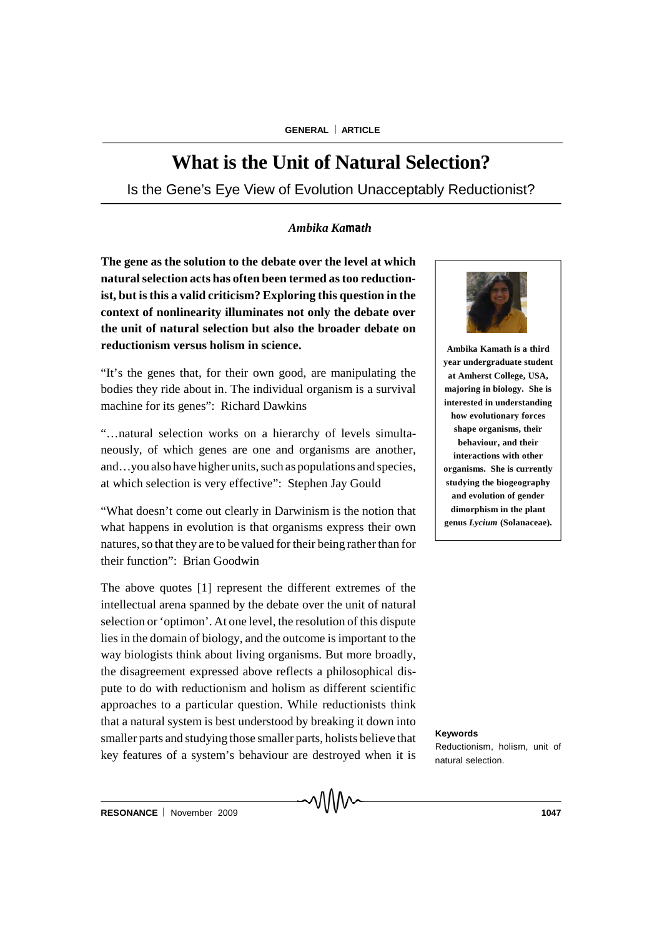# **What is the Unit of Natural Selection?**

Is the Gene's Eye View of Evolution Unacceptably Reductionist?

## *Ambika Kamath*

**The gene as the solution to the debate over the level at which natural selection acts has often been termed as too reductionist, but is this a valid criticism? Exploring this question in the context of nonlinearity illuminates not only the debate over the unit of natural selection but also the broader debate on reductionism versus holism in science.**

"It's the genes that, for their own good, are manipulating the bodies they ride about in. The individual organism is a survival machine for its genes": Richard Dawkins

"…natural selection works on a hierarchy of levels simultaneously, of which genes are one and organisms are another, and…you also have higher units, such as populations and species, at which selection is very effective": Stephen Jay Gould

"What doesn't come out clearly in Darwinism is the notion that what happens in evolution is that organisms express their own natures, so that they are to be valued for their being rather than for their function": Brian Goodwin

The above quotes [1] represent the different extremes of the intellectual arena spanned by the debate over the unit of natural selection or 'optimon'. At one level, the resolution of this dispute lies in the domain of biology, and the outcome is important to the way biologists think about living organisms. But more broadly, the disagreement expressed above reflects a philosophical dispute to do with reductionism and holism as different scientific approaches to a particular question. While reductionists think that a natural system is best understood by breaking it down into smaller parts and studying those smaller parts, holists believe that key features of a system's behaviour are destroyed when it is



**Ambika Kamath is a third year undergraduate student at Amherst College, USA, majoring in biology. She is interested in understanding how evolutionary forces shape organisms, their behaviour, and their interactions with other organisms. She is currently studying the biogeography and evolution of gender dimorphism in the plant genus** *Lycium* **(Solanaceae).**

**Keywords** Reductionism, holism, unit of natural selection.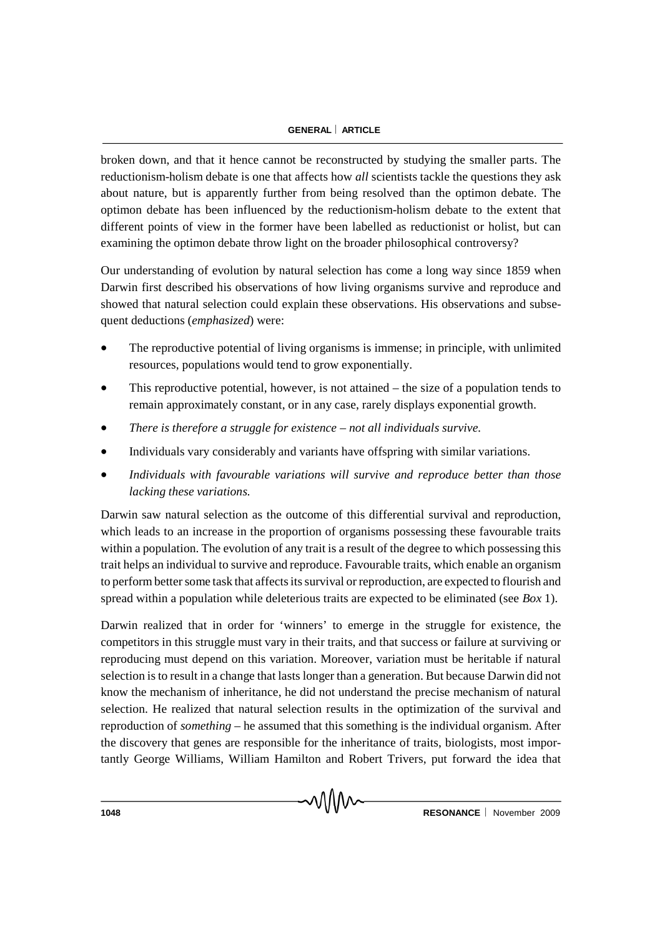broken down, and that it hence cannot be reconstructed by studying the smaller parts. The reductionism-holism debate is one that affects how *all* scientists tackle the questions they ask about nature, but is apparently further from being resolved than the optimon debate. The optimon debate has been influenced by the reductionism-holism debate to the extent that different points of view in the former have been labelled as reductionist or holist, but can examining the optimon debate throw light on the broader philosophical controversy?

Our understanding of evolution by natural selection has come a long way since 1859 when Darwin first described his observations of how living organisms survive and reproduce and showed that natural selection could explain these observations. His observations and subsequent deductions (*emphasized*) were:

- The reproductive potential of living organisms is immense; in principle, with unlimited resources, populations would tend to grow exponentially.
- This reproductive potential, however, is not attained the size of a population tends to remain approximately constant, or in any case, rarely displays exponential growth.
- *There is therefore a struggle for existence not all individuals survive.*
- Individuals vary considerably and variants have offspring with similar variations.
- *Individuals with favourable variations will survive and reproduce better than those lacking these variations.*

Darwin saw natural selection as the outcome of this differential survival and reproduction, which leads to an increase in the proportion of organisms possessing these favourable traits within a population. The evolution of any trait is a result of the degree to which possessing this trait helps an individual to survive and reproduce. Favourable traits, which enable an organism to perform better some task that affects its survival or reproduction, are expected to flourish and spread within a population while deleterious traits are expected to be eliminated (see *Box* 1).

Darwin realized that in order for 'winners' to emerge in the struggle for existence, the competitors in this struggle must vary in their traits, and that success or failure at surviving or reproducing must depend on this variation. Moreover, variation must be heritable if natural selection is to result in a change that lasts longer than a generation. But because Darwin did not know the mechanism of inheritance, he did not understand the precise mechanism of natural selection. He realized that natural selection results in the optimization of the survival and reproduction of *something* – he assumed that this something is the individual organism. After the discovery that genes are responsible for the inheritance of traits, biologists, most importantly George Williams, William Hamilton and Robert Trivers, put forward the idea that

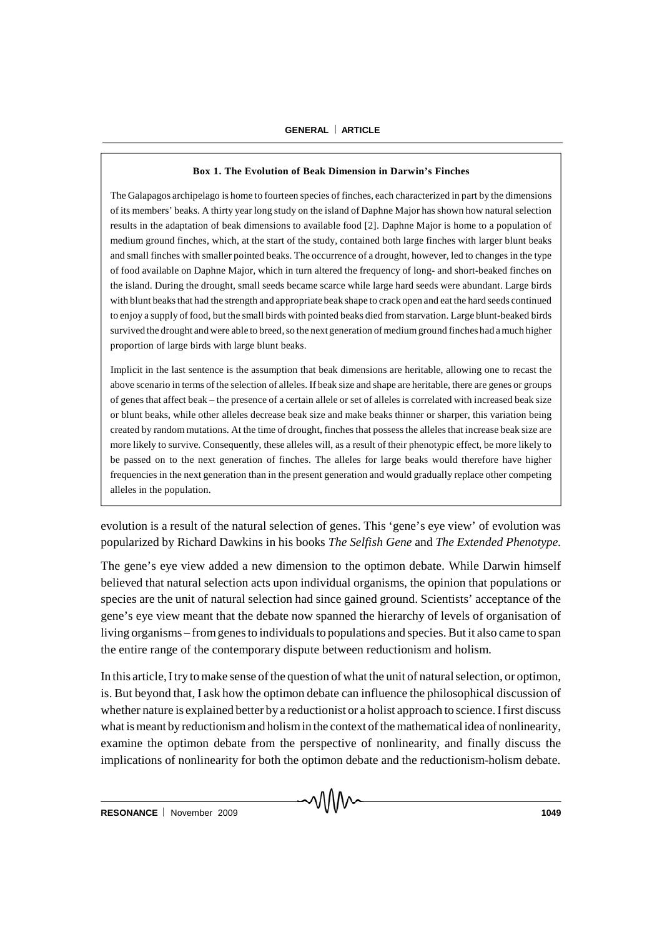#### **Box 1. The Evolution of Beak Dimension in Darwin's Finches**

The Galapagos archipelago is home to fourteen species of finches, each characterized in part by the dimensions of its members' beaks. A thirty year long study on the island of Daphne Major has shown how natural selection results in the adaptation of beak dimensions to available food [2]. Daphne Major is home to a population of medium ground finches, which, at the start of the study, contained both large finches with larger blunt beaks and small finches with smaller pointed beaks. The occurrence of a drought, however, led to changes in the type of food available on Daphne Major, which in turn altered the frequency of long- and short-beaked finches on the island. During the drought, small seeds became scarce while large hard seeds were abundant. Large birds with blunt beaks that had the strength and appropriate beak shape to crack open and eat the hard seeds continued to enjoy a supply of food, but the small birds with pointed beaks died from starvation. Large blunt-beaked birds survived the drought and were able to breed, so the next generation of medium ground finches had a much higher proportion of large birds with large blunt beaks.

Implicit in the last sentence is the assumption that beak dimensions are heritable, allowing one to recast the above scenario in terms of the selection of alleles. If beak size and shape are heritable, there are genes or groups of genes that affect beak – the presence of a certain allele or set of alleles is correlated with increased beak size or blunt beaks, while other alleles decrease beak size and make beaks thinner or sharper, this variation being created by random mutations. At the time of drought, finches that possess the alleles that increase beak size are more likely to survive. Consequently, these alleles will, as a result of their phenotypic effect, be more likely to be passed on to the next generation of finches. The alleles for large beaks would therefore have higher frequencies in the next generation than in the present generation and would gradually replace other competing alleles in the population.

evolution is a result of the natural selection of genes. This 'gene's eye view' of evolution was popularized by Richard Dawkins in his books *The Selfish Gene* and *The Extended Phenotype.*

The gene's eye view added a new dimension to the optimon debate. While Darwin himself believed that natural selection acts upon individual organisms, the opinion that populations or species are the unit of natural selection had since gained ground. Scientists' acceptance of the gene's eye view meant that the debate now spanned the hierarchy of levels of organisation of living organisms – from genes to individuals to populations and species. But it also came to span the entire range of the contemporary dispute between reductionism and holism.

In this article, I try to make sense of the question of what the unit of natural selection, or optimon, is. But beyond that, I ask how the optimon debate can influence the philosophical discussion of whether nature is explained better by a reductionist or a holist approach to science. I first discuss what is meant by reductionism and holismin the context of the mathematical idea of nonlinearity, examine the optimon debate from the perspective of nonlinearity, and finally discuss the implications of nonlinearity for both the optimon debate and the reductionism-holism debate.

MM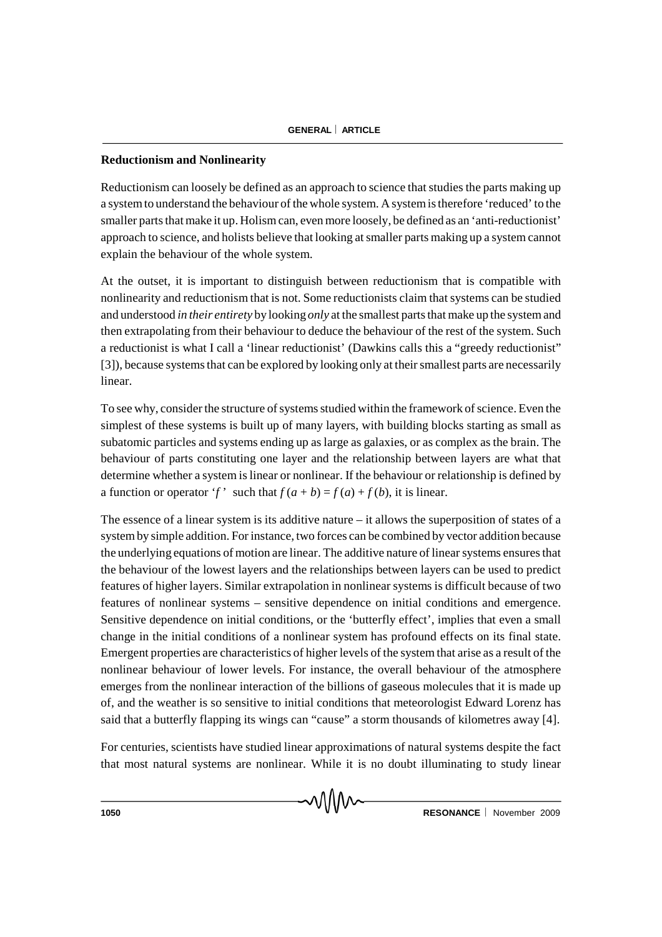#### **Reductionism and Nonlinearity**

Reductionism can loosely be defined as an approach to science that studies the parts making up a system to understand the behaviour of the whole system. A system is therefore 'reduced' to the smaller parts that make it up. Holism can, even more loosely, be defined as an 'anti-reductionist' approach to science, and holists believe that looking at smaller parts making up a system cannot explain the behaviour of the whole system.

At the outset, it is important to distinguish between reductionism that is compatible with nonlinearity and reductionism that is not. Some reductionists claim that systems can be studied and understood *in their entirety* by looking *only* at the smallest parts that make up the system and then extrapolating from their behaviour to deduce the behaviour of the rest of the system. Such a reductionist is what I call a 'linear reductionist' (Dawkins calls this a "greedy reductionist" [3]), because systems that can be explored by looking only at their smallest parts are necessarily linear.

To see why, consider the structure of systems studied within the framework of science. Even the simplest of these systems is built up of many layers, with building blocks starting as small as subatomic particles and systems ending up as large as galaxies, or as complex as the brain. The behaviour of parts constituting one layer and the relationship between layers are what that determine whether a system is linear or nonlinear. If the behaviour or relationship is defined by a function or operator '*f*' such that  $f(a + b) = f(a) + f(b)$ , it is linear.

The essence of a linear system is its additive nature – it allows the superposition of states of a system by simple addition. For instance, two forces can be combined by vector addition because the underlying equations of motion are linear. The additive nature of linear systems ensures that the behaviour of the lowest layers and the relationships between layers can be used to predict features of higher layers. Similar extrapolation in nonlinear systems is difficult because of two features of nonlinear systems – sensitive dependence on initial conditions and emergence. Sensitive dependence on initial conditions, or the 'butterfly effect', implies that even a small change in the initial conditions of a nonlinear system has profound effects on its final state. Emergent properties are characteristics of higher levels of the system that arise as a result of the nonlinear behaviour of lower levels. For instance, the overall behaviour of the atmosphere emerges from the nonlinear interaction of the billions of gaseous molecules that it is made up of, and the weather is so sensitive to initial conditions that meteorologist Edward Lorenz has said that a butterfly flapping its wings can "cause" a storm thousands of kilometres away [4].

For centuries, scientists have studied linear approximations of natural systems despite the fact that most natural systems are nonlinear. While it is no doubt illuminating to study linear

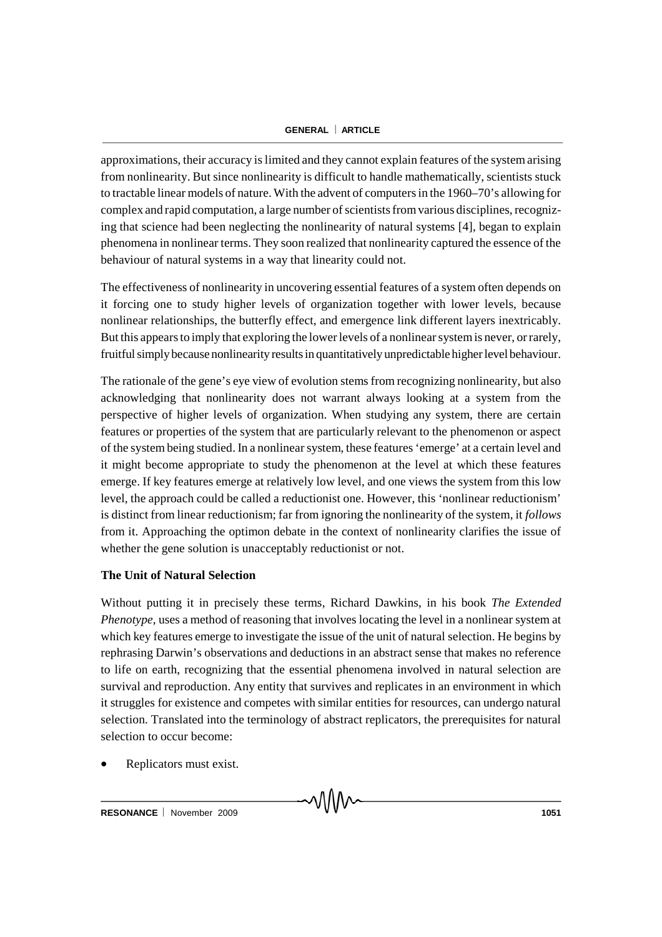approximations, their accuracy is limited and they cannot explain features of the system arising from nonlinearity. But since nonlinearity is difficult to handle mathematically, scientists stuck to tractable linear models of nature. With the advent of computers in the 1960–70's allowing for complex and rapid computation, a large number of scientists from various disciplines, recognizing that science had been neglecting the nonlinearity of natural systems [4], began to explain phenomena in nonlinear terms. They soon realized that nonlinearity captured the essence of the behaviour of natural systems in a way that linearity could not.

The effectiveness of nonlinearity in uncovering essential features of a system often depends on it forcing one to study higher levels of organization together with lower levels, because nonlinear relationships, the butterfly effect, and emergence link different layers inextricably. But this appears to imply that exploring the lower levels of a nonlinear system is never, or rarely, fruitful simply because nonlinearity results in quantitatively unpredictable higher level behaviour.

The rationale of the gene's eye view of evolution stems from recognizing nonlinearity, but also acknowledging that nonlinearity does not warrant always looking at a system from the perspective of higher levels of organization. When studying any system, there are certain features or properties of the system that are particularly relevant to the phenomenon or aspect of the system being studied. In a nonlinear system, these features 'emerge' at a certain level and it might become appropriate to study the phenomenon at the level at which these features emerge. If key features emerge at relatively low level, and one views the system from this low level, the approach could be called a reductionist one. However, this 'nonlinear reductionism' is distinct from linear reductionism; far from ignoring the nonlinearity of the system, it *follows* from it. Approaching the optimon debate in the context of nonlinearity clarifies the issue of whether the gene solution is unacceptably reductionist or not.

# **The Unit of Natural Selection**

Without putting it in precisely these terms, Richard Dawkins, in his book *The Extended Phenotype*, uses a method of reasoning that involves locating the level in a nonlinear system at which key features emerge to investigate the issue of the unit of natural selection. He begins by rephrasing Darwin's observations and deductions in an abstract sense that makes no reference to life on earth, recognizing that the essential phenomena involved in natural selection are survival and reproduction. Any entity that survives and replicates in an environment in which it struggles for existence and competes with similar entities for resources, can undergo natural selection. Translated into the terminology of abstract replicators, the prerequisites for natural selection to occur become:

Replicators must exist.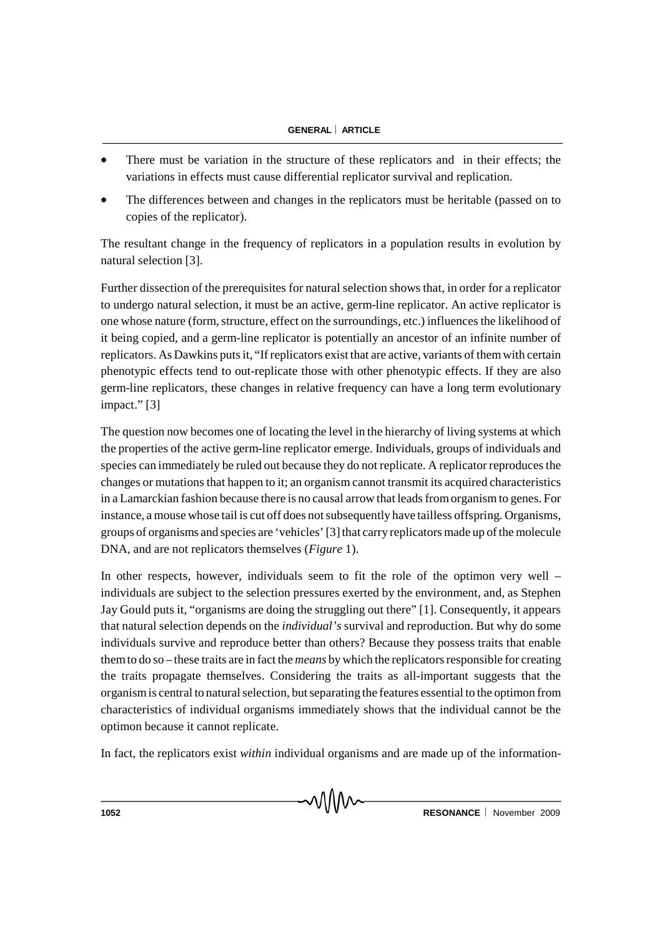- There must be variation in the structure of these replicators and in their effects; the variations in effects must cause differential replicator survival and replication.
- The differences between and changes in the replicators must be heritable (passed on to copies of the replicator).

The resultant change in the frequency of replicators in a population results in evolution by natural selection [3].

Further dissection of the prerequisites for natural selection shows that, in order for a replicator to undergo natural selection, it must be an active, germ-line replicator. An active replicator is one whose nature (form, structure, effect on the surroundings, etc.) influences the likelihood of it being copied, and a germ-line replicator is potentially an ancestor of an infinite number of replicators. As Dawkins puts it, "If replicators exist that are active, variants of them with certain phenotypic effects tend to out-replicate those with other phenotypic effects. If they are also germ-line replicators, these changes in relative frequency can have a long term evolutionary impact." [3]

The question now becomes one of locating the level in the hierarchy of living systems at which the properties of the active germ-line replicator emerge. Individuals, groups of individuals and species can immediately be ruled out because they do not replicate. A replicator reproduces the changes or mutations that happen to it; an organism cannot transmit its acquired characteristics in a Lamarckian fashion because there is no causal arrow that leads from organism to genes. For instance, a mouse whose tail is cut off does not subsequently have tailless offspring. Organisms, groups of organisms and species are 'vehicles' [3] that carry replicators made up of the molecule DNA, and are not replicators themselves (*Figure* 1).

In other respects, however, individuals seem to fit the role of the optimon very well – individuals are subject to the selection pressures exerted by the environment, and, as Stephen Jay Gould puts it, "organisms are doing the struggling out there" [1]. Consequently, it appears that natural selection depends on the *individual's* survival and reproduction. But why do some individuals survive and reproduce better than others? Because they possess traits that enable them to do so – these traits are in fact the *means* by which the replicators responsible for creating the traits propagate themselves. Considering the traits as all-important suggests that the organism is central to natural selection, but separating the features essential to the optimon from characteristics of individual organisms immediately shows that the individual cannot be the optimon because it cannot replicate.

In fact, the replicators exist *within* individual organisms and are made up of the information-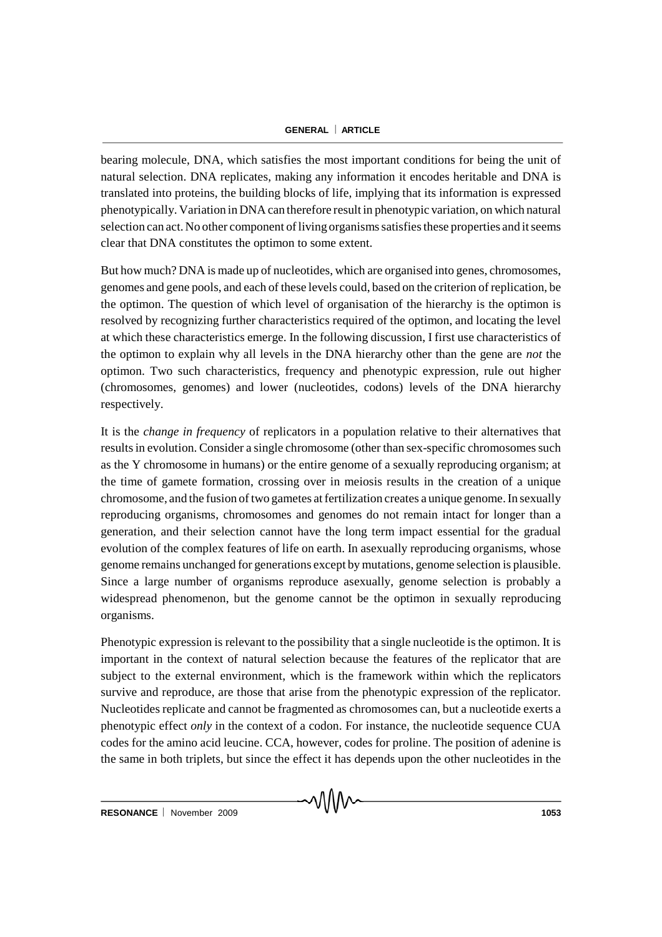bearing molecule, DNA, which satisfies the most important conditions for being the unit of natural selection. DNA replicates, making any information it encodes heritable and DNA is translated into proteins, the building blocks of life, implying that its information is expressed phenotypically. Variation in DNA can therefore result in phenotypic variation, on which natural selection can act. No other component of living organisms satisfies these properties and it seems clear that DNA constitutes the optimon to some extent.

But how much? DNA is made up of nucleotides, which are organised into genes, chromosomes, genomes and gene pools, and each of these levels could, based on the criterion of replication, be the optimon. The question of which level of organisation of the hierarchy is the optimon is resolved by recognizing further characteristics required of the optimon, and locating the level at which these characteristics emerge. In the following discussion, I first use characteristics of the optimon to explain why all levels in the DNA hierarchy other than the gene are *not* the optimon. Two such characteristics, frequency and phenotypic expression, rule out higher (chromosomes, genomes) and lower (nucleotides, codons) levels of the DNA hierarchy respectively.

It is the *change in frequency* of replicators in a population relative to their alternatives that results in evolution. Consider a single chromosome (other than sex-specific chromosomes such as the Y chromosome in humans) or the entire genome of a sexually reproducing organism; at the time of gamete formation, crossing over in meiosis results in the creation of a unique chromosome, and the fusion of two gametes at fertilization creates a unique genome. In sexually reproducing organisms, chromosomes and genomes do not remain intact for longer than a generation, and their selection cannot have the long term impact essential for the gradual evolution of the complex features of life on earth. In asexually reproducing organisms, whose genome remains unchanged for generations except by mutations, genome selection is plausible. Since a large number of organisms reproduce asexually, genome selection is probably a widespread phenomenon, but the genome cannot be the optimon in sexually reproducing organisms.

Phenotypic expression is relevant to the possibility that a single nucleotide is the optimon. It is important in the context of natural selection because the features of the replicator that are subject to the external environment, which is the framework within which the replicators survive and reproduce, are those that arise from the phenotypic expression of the replicator. Nucleotides replicate and cannot be fragmented as chromosomes can, but a nucleotide exerts a phenotypic effect *only* in the context of a codon. For instance, the nucleotide sequence CUA codes for the amino acid leucine. CCA, however, codes for proline. The position of adenine is the same in both triplets, but since the effect it has depends upon the other nucleotides in the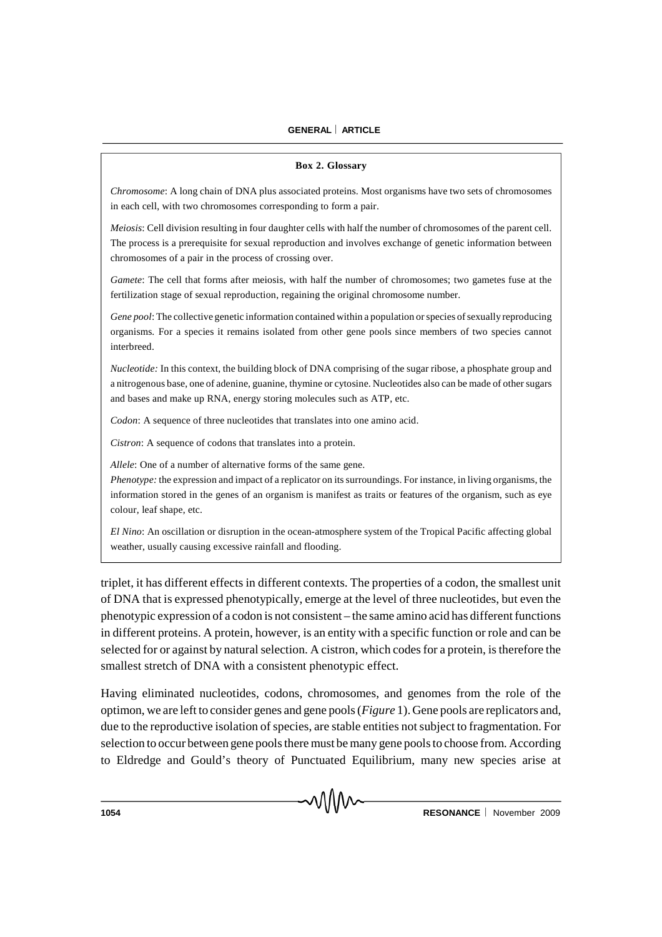#### **Box 2. Glossary**

*Chromosome*: A long chain of DNA plus associated proteins. Most organisms have two sets of chromosomes in each cell, with two chromosomes corresponding to form a pair.

*Meiosis*: Cell division resulting in four daughter cells with half the number of chromosomes of the parent cell. The process is a prerequisite for sexual reproduction and involves exchange of genetic information between chromosomes of a pair in the process of crossing over.

*Gamete*: The cell that forms after meiosis, with half the number of chromosomes; two gametes fuse at the fertilization stage of sexual reproduction, regaining the original chromosome number.

*Gene pool*: The collective genetic information contained within a population or species of sexually reproducing organisms. For a species it remains isolated from other gene pools since members of two species cannot interbreed.

*Nucleotide:* In this context, the building block of DNA comprising of the sugar ribose, a phosphate group and a nitrogenous base, one of adenine, guanine, thymine or cytosine. Nucleotides also can be made of other sugars and bases and make up RNA, energy storing molecules such as ATP, etc.

*Codon*: A sequence of three nucleotides that translates into one amino acid.

*Cistron*: A sequence of codons that translates into a protein.

*Allele*: One of a number of alternative forms of the same gene.

*Phenotype:* the expression and impact of a replicator on its surroundings. For instance, in living organisms, the information stored in the genes of an organism is manifest as traits or features of the organism, such as eye colour, leaf shape, etc.

*El Nino*: An oscillation or disruption in the ocean-atmosphere system of the Tropical Pacific affecting global weather, usually causing excessive rainfall and flooding.

triplet, it has different effects in different contexts. The properties of a codon, the smallest unit of DNA that is expressed phenotypically, emerge at the level of three nucleotides, but even the phenotypic expression of a codon is not consistent – the same amino acid has different functions in different proteins. A protein, however, is an entity with a specific function or role and can be selected for or against by natural selection. A cistron, which codes for a protein, is therefore the smallest stretch of DNA with a consistent phenotypic effect.

Having eliminated nucleotides, codons, chromosomes, and genomes from the role of the optimon, we are left to consider genes and gene pools (*Figure* 1). Gene pools are replicators and, due to the reproductive isolation of species, are stable entities not subject to fragmentation. For selection to occur between gene pools there must be many gene pools to choose from. According to Eldredge and Gould's theory of Punctuated Equilibrium, many new species arise at

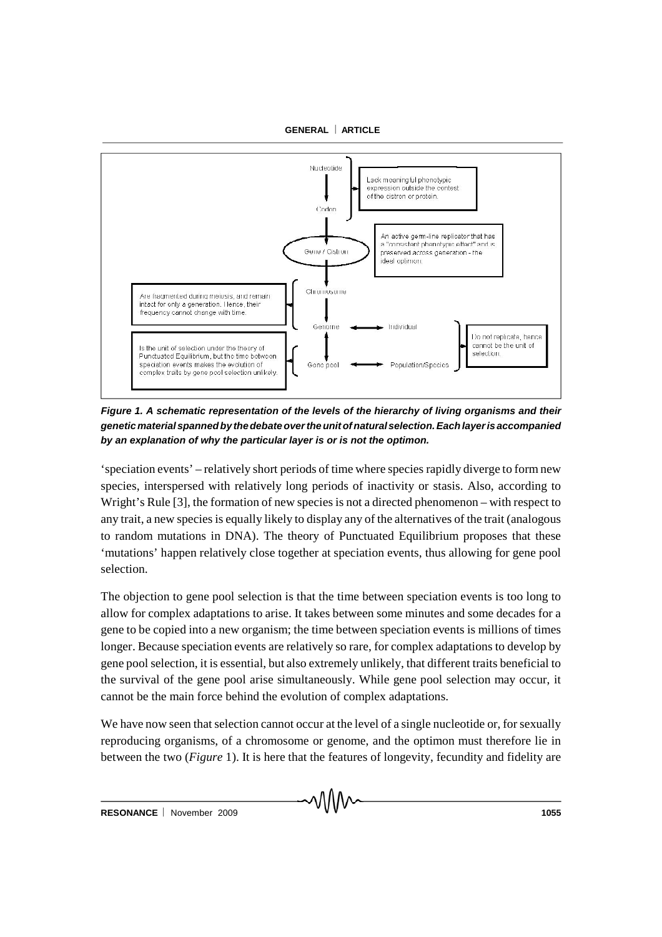



*Figure 1. A schematic representation of the levels of the hierarchy of living organisms and their genetic materialspanned by thedebate over theunit of naturalselection. Each layeris accompanied by an explanation of why the particular layer is or is not the optimon.*

'speciation events' – relatively short periods of time where species rapidly diverge to form new species, interspersed with relatively long periods of inactivity or stasis. Also, according to Wright's Rule [3], the formation of new species is not a directed phenomenon – with respect to any trait, a new species is equally likely to display any of the alternatives of the trait (analogous to random mutations in DNA). The theory of Punctuated Equilibrium proposes that these 'mutations' happen relatively close together at speciation events, thus allowing for gene pool selection.

The objection to gene pool selection is that the time between speciation events is too long to allow for complex adaptations to arise. It takes between some minutes and some decades for a gene to be copied into a new organism; the time between speciation events is millions of times longer. Because speciation events are relatively so rare, for complex adaptations to develop by gene pool selection, it is essential, but also extremely unlikely, that different traits beneficial to the survival of the gene pool arise simultaneously. While gene pool selection may occur, it cannot be the main force behind the evolution of complex adaptations.

We have now seen that selection cannot occur at the level of a single nucleotide or, for sexually reproducing organisms, of a chromosome or genome, and the optimon must therefore lie in between the two (*Figure* 1). It is here that the features of longevity, fecundity and fidelity are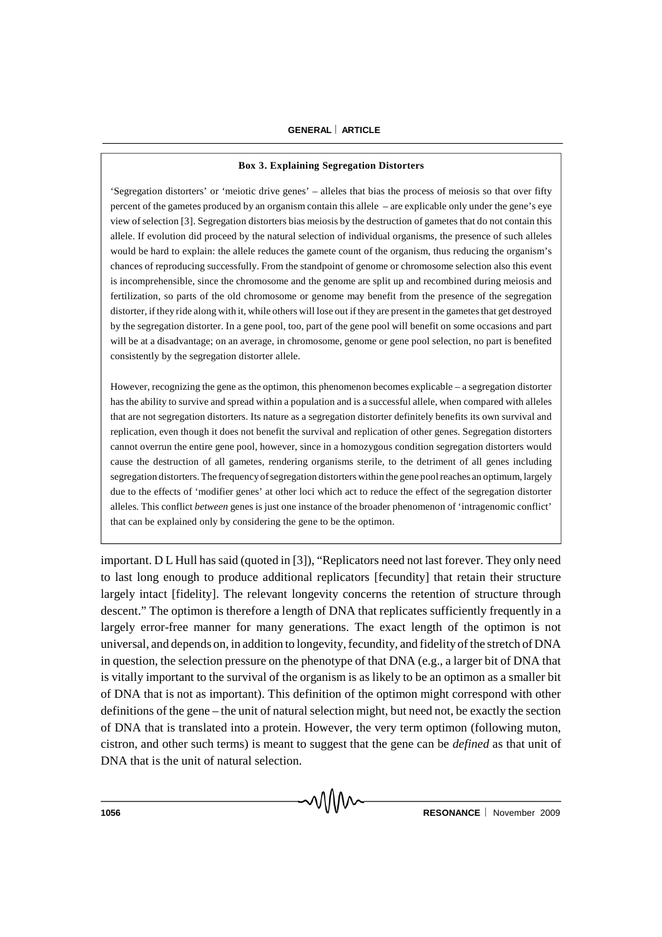#### **Box 3. Explaining Segregation Distorters**

'Segregation distorters' or 'meiotic drive genes' – alleles that bias the process of meiosis so that over fifty percent of the gametes produced by an organism contain this allele – are explicable only under the gene's eye view of selection [3]. Segregation distorters bias meiosis by the destruction of gametes that do not contain this allele. If evolution did proceed by the natural selection of individual organisms, the presence of such alleles would be hard to explain: the allele reduces the gamete count of the organism, thus reducing the organism's chances of reproducing successfully. From the standpoint of genome or chromosome selection also this event is incomprehensible, since the chromosome and the genome are split up and recombined during meiosis and fertilization, so parts of the old chromosome or genome may benefit from the presence of the segregation distorter, if they ride along with it, while others will lose out if they are present in the gametes that get destroyed by the segregation distorter. In a gene pool, too, part of the gene pool will benefit on some occasions and part will be at a disadvantage; on an average, in chromosome, genome or gene pool selection, no part is benefited consistently by the segregation distorter allele.

However, recognizing the gene as the optimon, this phenomenon becomes explicable – a segregation distorter has the ability to survive and spread within a population and is a successful allele, when compared with alleles that are not segregation distorters. Its nature as a segregation distorter definitely benefits its own survival and replication, even though it does not benefit the survival and replication of other genes. Segregation distorters cannot overrun the entire gene pool, however, since in a homozygous condition segregation distorters would cause the destruction of all gametes, rendering organisms sterile, to the detriment of all genes including segregation distorters. The frequency of segregation distorters within the gene pool reaches an optimum, largely due to the effects of 'modifier genes' at other loci which act to reduce the effect of the segregation distorter alleles. This conflict *between* genes is just one instance of the broader phenomenon of 'intragenomic conflict' that can be explained only by considering the gene to be the optimon.

important. D L Hull has said (quoted in [3]), "Replicators need not last forever. They only need to last long enough to produce additional replicators [fecundity] that retain their structure largely intact [fidelity]. The relevant longevity concerns the retention of structure through descent." The optimon is therefore a length of DNA that replicates sufficiently frequently in a largely error-free manner for many generations. The exact length of the optimon is not universal, and depends on, in addition to longevity, fecundity, and fidelity of the stretch of DNA in question, the selection pressure on the phenotype of that DNA (e.g., a larger bit of DNA that is vitally important to the survival of the organism is as likely to be an optimon as a smaller bit of DNA that is not as important). This definition of the optimon might correspond with other definitions of the gene – the unit of natural selection might, but need not, be exactly the section of DNA that is translated into a protein. However, the very term optimon (following muton, cistron, and other such terms) is meant to suggest that the gene can be *defined* as that unit of DNA that is the unit of natural selection.

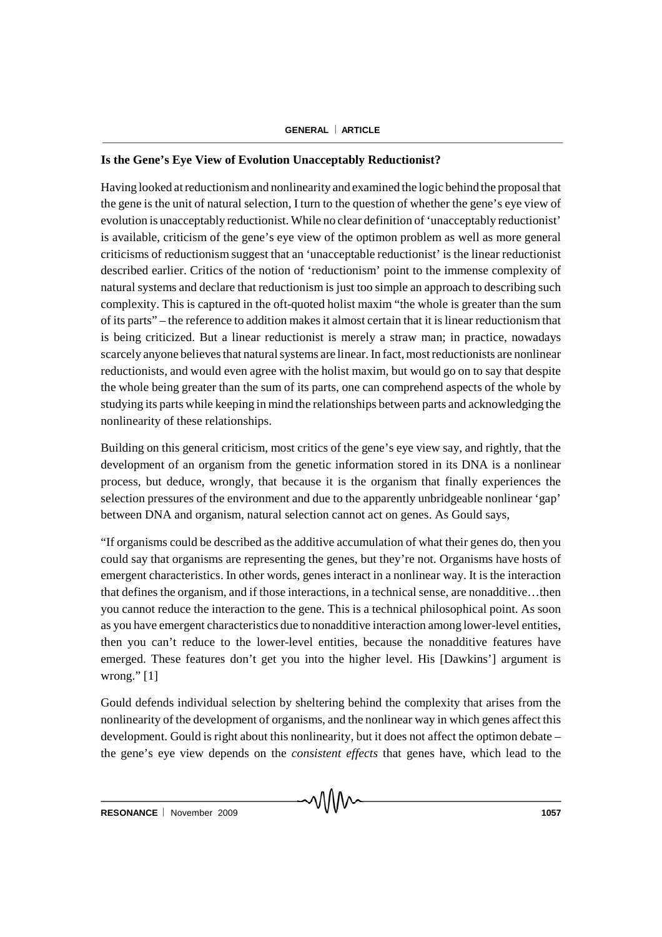## **Is the Gene's Eye View of Evolution Unacceptably Reductionist?**

Having looked at reductionism and nonlinearity and examined the logic behind the proposal that the gene is the unit of natural selection, I turn to the question of whether the gene's eye view of evolution is unacceptably reductionist. While no clear definition of 'unacceptably reductionist' is available, criticism of the gene's eye view of the optimon problem as well as more general criticisms of reductionism suggest that an 'unacceptable reductionist' is the linear reductionist described earlier. Critics of the notion of 'reductionism' point to the immense complexity of natural systems and declare that reductionism is just too simple an approach to describing such complexity. This is captured in the oft-quoted holist maxim "the whole is greater than the sum of its parts" – the reference to addition makes it almost certain that it is linear reductionism that is being criticized. But a linear reductionist is merely a straw man; in practice, nowadays scarcely anyone believes that natural systems are linear. In fact, most reductionists are nonlinear reductionists, and would even agree with the holist maxim, but would go on to say that despite the whole being greater than the sum of its parts, one can comprehend aspects of the whole by studying its parts while keeping in mind the relationships between parts and acknowledging the nonlinearity of these relationships.

Building on this general criticism, most critics of the gene's eye view say, and rightly, that the development of an organism from the genetic information stored in its DNA is a nonlinear process, but deduce, wrongly, that because it is the organism that finally experiences the selection pressures of the environment and due to the apparently unbridgeable nonlinear 'gap' between DNA and organism, natural selection cannot act on genes. As Gould says,

"If organisms could be described as the additive accumulation of what their genes do, then you could say that organisms are representing the genes, but they're not. Organisms have hosts of emergent characteristics. In other words, genes interact in a nonlinear way. It is the interaction that defines the organism, and if those interactions, in a technical sense, are nonadditive…then you cannot reduce the interaction to the gene. This is a technical philosophical point. As soon as you have emergent characteristics due to nonadditive interaction among lower-level entities, then you can't reduce to the lower-level entities, because the nonadditive features have emerged. These features don't get you into the higher level. His [Dawkins'] argument is wrong." $[1]$ 

Gould defends individual selection by sheltering behind the complexity that arises from the nonlinearity of the development of organisms, and the nonlinear way in which genes affect this development. Gould is right about this nonlinearity, but it does not affect the optimon debate – the gene's eye view depends on the *consistent effects* that genes have, which lead to the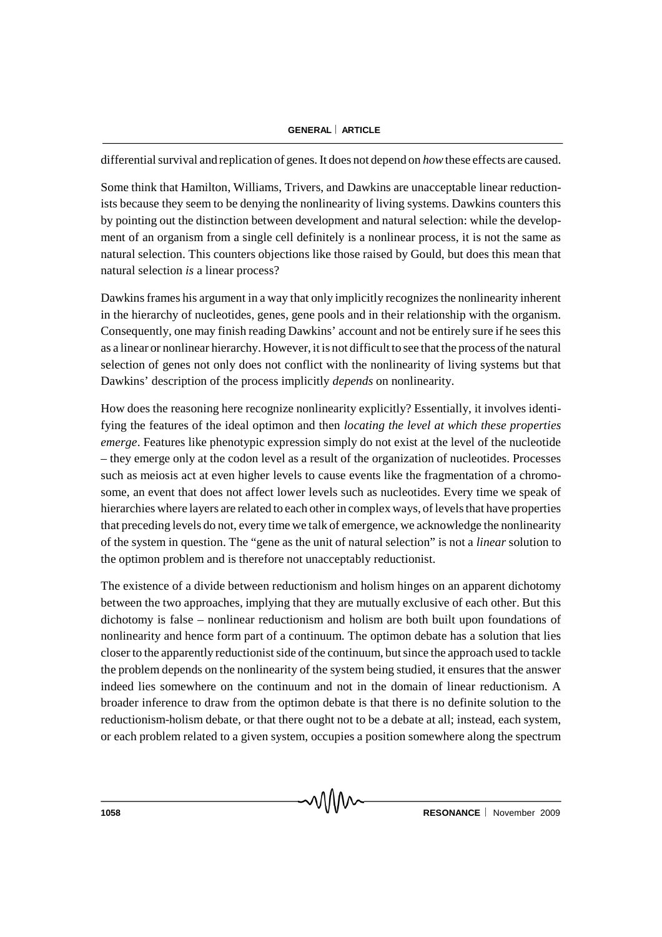differential survival and replication of genes. It does not depend on *how*these effects are caused.

Some think that Hamilton, Williams, Trivers, and Dawkins are unacceptable linear reductionists because they seem to be denying the nonlinearity of living systems. Dawkins counters this by pointing out the distinction between development and natural selection: while the development of an organism from a single cell definitely is a nonlinear process, it is not the same as natural selection. This counters objections like those raised by Gould, but does this mean that natural selection *is* a linear process?

Dawkins frames his argument in a way that only implicitly recognizes the nonlinearity inherent in the hierarchy of nucleotides, genes, gene pools and in their relationship with the organism. Consequently, one may finish reading Dawkins' account and not be entirely sure if he sees this as a linear or nonlinear hierarchy. However, it is not difficult to see that the process of the natural selection of genes not only does not conflict with the nonlinearity of living systems but that Dawkins' description of the process implicitly *depends* on nonlinearity.

How does the reasoning here recognize nonlinearity explicitly? Essentially, it involves identifying the features of the ideal optimon and then *locating the level at which these properties emerge*. Features like phenotypic expression simply do not exist at the level of the nucleotide – they emerge only at the codon level as a result of the organization of nucleotides. Processes such as meiosis act at even higher levels to cause events like the fragmentation of a chromosome, an event that does not affect lower levels such as nucleotides. Every time we speak of hierarchies where layers are related to each other in complex ways, of levels that have properties that preceding levels do not, every time we talk of emergence, we acknowledge the nonlinearity of the system in question. The "gene as the unit of natural selection" is not a *linear* solution to the optimon problem and is therefore not unacceptably reductionist.

The existence of a divide between reductionism and holism hinges on an apparent dichotomy between the two approaches, implying that they are mutually exclusive of each other. But this dichotomy is false – nonlinear reductionism and holism are both built upon foundations of nonlinearity and hence form part of a continuum. The optimon debate has a solution that lies closer to the apparently reductionist side of the continuum, but since the approach used to tackle the problem depends on the nonlinearity of the system being studied, it ensures that the answer indeed lies somewhere on the continuum and not in the domain of linear reductionism. A broader inference to draw from the optimon debate is that there is no definite solution to the reductionism-holism debate, or that there ought not to be a debate at all; instead, each system, or each problem related to a given system, occupies a position somewhere along the spectrum